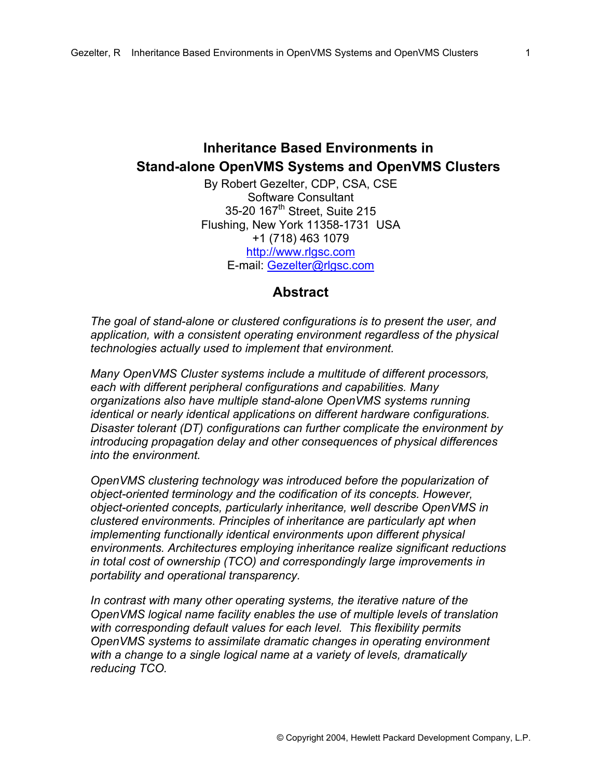# **Inheritance Based Environments in Stand-alone OpenVMS Systems and OpenVMS Clusters**

By Robert Gezelter, CDP, CSA, CSE Software Consultant 35-20 167<sup>th</sup> Street, Suite 215 Flushing, New York 11358-1731 USA +1 (718) 463 1079 [http://www.rlgsc.com](http://www.rlgsc.com/) E-mail: [Gezelter@rlgsc.com](mailto:Gezelter@rlgsc.com)

#### **Abstract**

*The goal of stand-alone or clustered configurations is to present the user, and application, with a consistent operating environment regardless of the physical technologies actually used to implement that environment.* 

*Many OpenVMS Cluster systems include a multitude of different processors, each with different peripheral configurations and capabilities. Many organizations also have multiple stand-alone OpenVMS systems running identical or nearly identical applications on different hardware configurations. Disaster tolerant (DT) configurations can further complicate the environment by introducing propagation delay and other consequences of physical differences into the environment.* 

*OpenVMS clustering technology was introduced before the popularization of object-oriented terminology and the codification of its concepts. However, object-oriented concepts, particularly inheritance, well describe OpenVMS in clustered environments. Principles of inheritance are particularly apt when implementing functionally identical environments upon different physical environments. Architectures employing inheritance realize significant reductions in total cost of ownership (TCO) and correspondingly large improvements in portability and operational transparency.* 

*In contrast with many other operating systems, the iterative nature of the OpenVMS logical name facility enables the use of multiple levels of translation with corresponding default values for each level. This flexibility permits OpenVMS systems to assimilate dramatic changes in operating environment with a change to a single logical name at a variety of levels, dramatically reducing TCO.*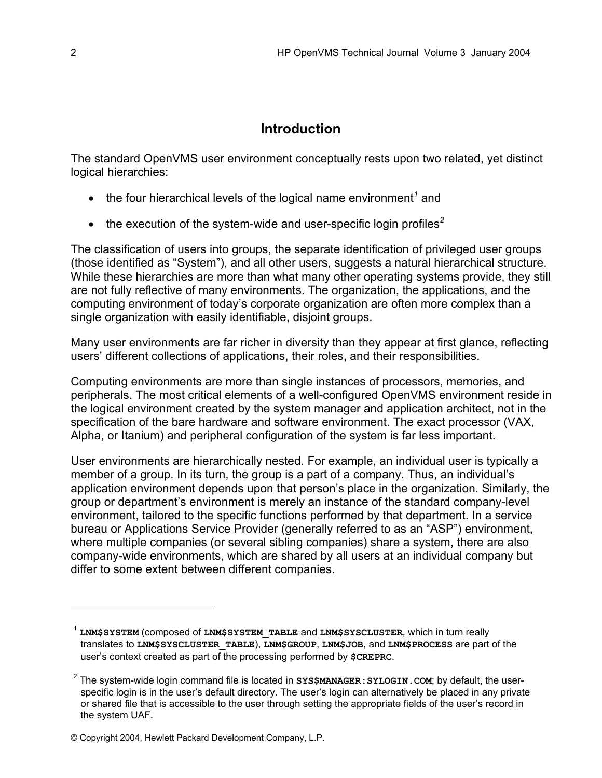## **Introduction**

The standard OpenVMS user environment conceptually rests upon two related, yet distinct logical hierarchies:

- $\bullet$  the four hierarchical levels of the logical name environment<sup>[1](#page-1-0)</sup> and
- the execution of the system-wide and user-specific login profiles*[2](#page-1-1)*

The classification of users into groups, the separate identification of privileged user groups (those identified as "System"), and all other users, suggests a natural hierarchical structure. While these hierarchies are more than what many other operating systems provide, they still are not fully reflective of many environments. The organization, the applications, and the computing environment of today's corporate organization are often more complex than a single organization with easily identifiable, disjoint groups.

Many user environments are far richer in diversity than they appear at first glance, reflecting users' different collections of applications, their roles, and their responsibilities.

Computing environments are more than single instances of processors, memories, and peripherals. The most critical elements of a well-configured OpenVMS environment reside in the logical environment created by the system manager and application architect, not in the specification of the bare hardware and software environment. The exact processor (VAX, Alpha, or Itanium) and peripheral configuration of the system is far less important.

User environments are hierarchically nested. For example, an individual user is typically a member of a group. In its turn, the group is a part of a company. Thus, an individual's application environment depends upon that person's place in the organization. Similarly, the group or department's environment is merely an instance of the standard company-level environment, tailored to the specific functions performed by that department. In a service bureau or Applications Service Provider (generally referred to as an "ASP") environment, where multiple companies (or several sibling companies) share a system, there are also company-wide environments, which are shared by all users at an individual company but differ to some extent between different companies.

<span id="page-1-0"></span><sup>1</sup> **LNM\$SYSTEM** (composed of **LNM\$SYSTEM\_TABLE** and **LNM\$SYSCLUSTER**, which in turn really translates to **LNM\$SYSCLUSTER\_TABLE**), **LNM\$GROUP**, **LNM\$JOB**, and **LNM\$PROCESS** are part of the user's context created as part of the processing performed by **\$CREPRC**.

<span id="page-1-1"></span><sup>2</sup> The system-wide login command file is located in **SYS\$MANAGER:SYLOGIN.COM**; by default, the userspecific login is in the user's default directory. The user's login can alternatively be placed in any private or shared file that is accessible to the user through setting the appropriate fields of the user's record in the system UAF.

<sup>©</sup> Copyright 2004, Hewlett Packard Development Company, L.P.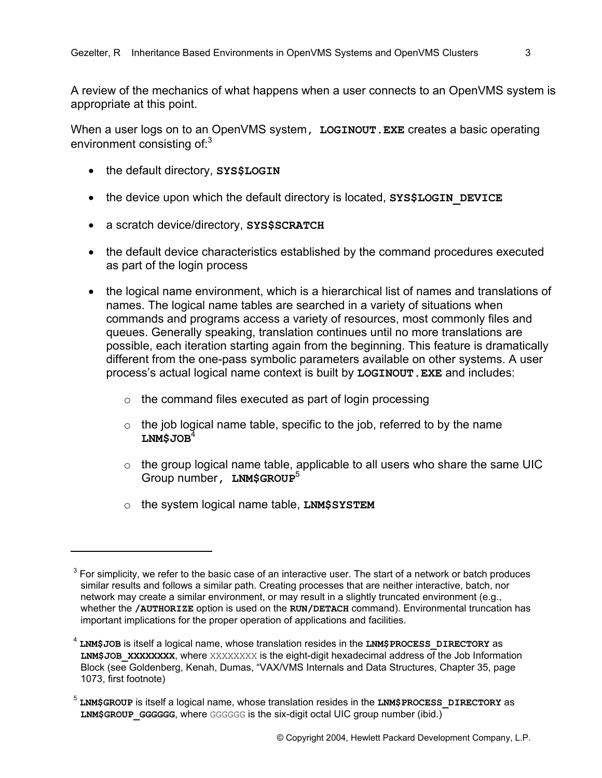A review of the mechanics of what happens when a user connects to an OpenVMS system is appropriate at this point.

When a user logs on to an OpenVMS system, LOGINOUT. EXE creates a basic operating environment consisting of:<sup>[3](#page-2-0)</sup>

- the default directory, **SYS\$LOGIN**
- the device upon which the default directory is located, SYS\$LOGIN DEVICE
- a scratch device/directory, **SYS\$SCRATCH**
- the default device characteristics established by the command procedures executed as part of the login process
- the logical name environment, which is a hierarchical list of names and translations of names. The logical name tables are searched in a variety of situations when commands and programs access a variety of resources, most commonly files and queues. Generally speaking, translation continues until no more translations are possible, each iteration starting again from the beginning. This feature is dramatically different from the one-pass symbolic parameters available on other systems. A user process's actual logical name context is built by **LOGINOUT.EXE** and includes:
	- $\circ$  the command files executed as part of login processing
	- $\circ$  the job logical name table, specific to the job, referred to by the name **LNM\$JOB**[4](#page-2-1)
	- $\circ$  the group logical name table, applicable to all users who share the same UIC Group number**, LNM\$GROUP**[5](#page-2-2)
	- o the system logical name table, **LNM\$SYSTEM**

1

<span id="page-2-0"></span> $3$  For simplicity, we refer to the basic case of an interactive user. The start of a network or batch produces similar results and follows a similar path. Creating processes that are neither interactive, batch, nor network may create a similar environment, or may result in a slightly truncated environment (e.g., whether the **/AUTHORIZE** option is used on the **RUN/DETACH** command). Environmental truncation has important implications for the proper operation of applications and facilities.

<span id="page-2-1"></span><sup>4</sup> **LNM\$JOB** is itself a logical name, whose translation resides in the **LNM\$PROCESS\_DIRECTORY** as LNM\$JOB XXXXXXXX, where XXXXXXXX is the eight-digit hexadecimal address of the Job Information Block (see Goldenberg, Kenah, Dumas, "VAX/VMS Internals and Data Structures, Chapter 35, page 1073, first footnote)

<span id="page-2-2"></span><sup>5</sup> **LNM\$GROUP** is itself a logical name, whose translation resides in the **LNM\$PROCESS\_DIRECTORY** as LNM\$GROUP GGGGGG, where GGGGGG is the six-digit octal UIC group number (ibid.)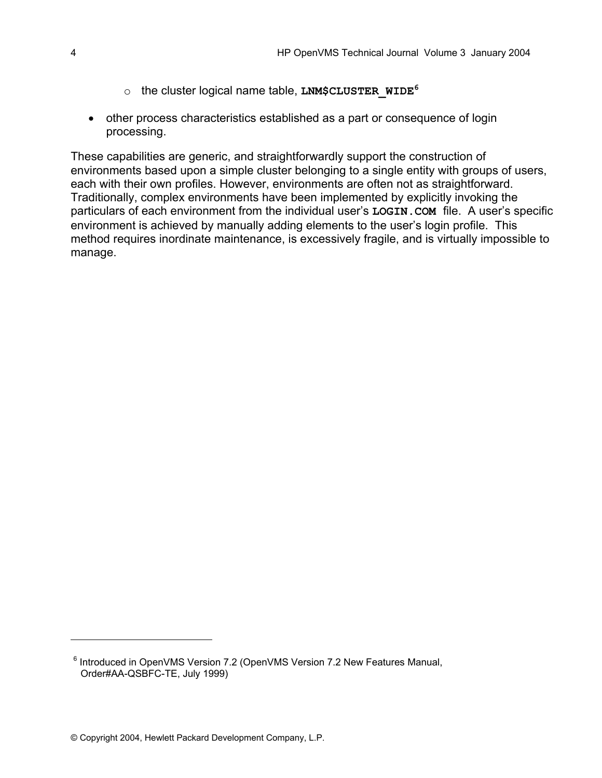- o the cluster logical name table, **LNM\$CLUSTER\_WIDE[6](#page-3-0)**
- other process characteristics established as a part or consequence of login processing.

These capabilities are generic, and straightforwardly support the construction of environments based upon a simple cluster belonging to a single entity with groups of users, each with their own profiles. However, environments are often not as straightforward. Traditionally, complex environments have been implemented by explicitly invoking the particulars of each environment from the individual user's **LOGIN.COM** file. A user's specific environment is achieved by manually adding elements to the user's login profile. This method requires inordinate maintenance, is excessively fragile, and is virtually impossible to manage.

<span id="page-3-0"></span><sup>&</sup>lt;sup>6</sup> Introduced in OpenVMS Version 7.2 (OpenVMS Version 7.2 New Features Manual, Order#AA-QSBFC-TE, July 1999)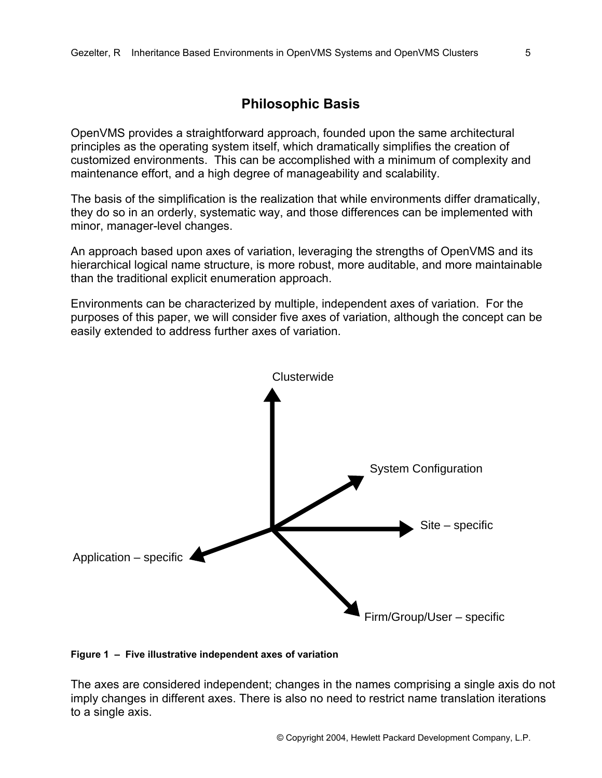### **Philosophic Basis**

OpenVMS provides a straightforward approach, founded upon the same architectural principles as the operating system itself, which dramatically simplifies the creation of customized environments. This can be accomplished with a minimum of complexity and maintenance effort, and a high degree of manageability and scalability.

The basis of the simplification is the realization that while environments differ dramatically, they do so in an orderly, systematic way, and those differences can be implemented with minor, manager-level changes.

An approach based upon axes of variation, leveraging the strengths of OpenVMS and its hierarchical logical name structure, is more robust, more auditable, and more maintainable than the traditional explicit enumeration approach.

Environments can be characterized by multiple, independent axes of variation. For the purposes of this paper, we will consider five axes of variation, although the concept can be easily extended to address further axes of variation.



#### **Figure 1 – Five illustrative independent axes of variation**

The axes are considered independent; changes in the names comprising a single axis do not imply changes in different axes. There is also no need to restrict name translation iterations to a single axis.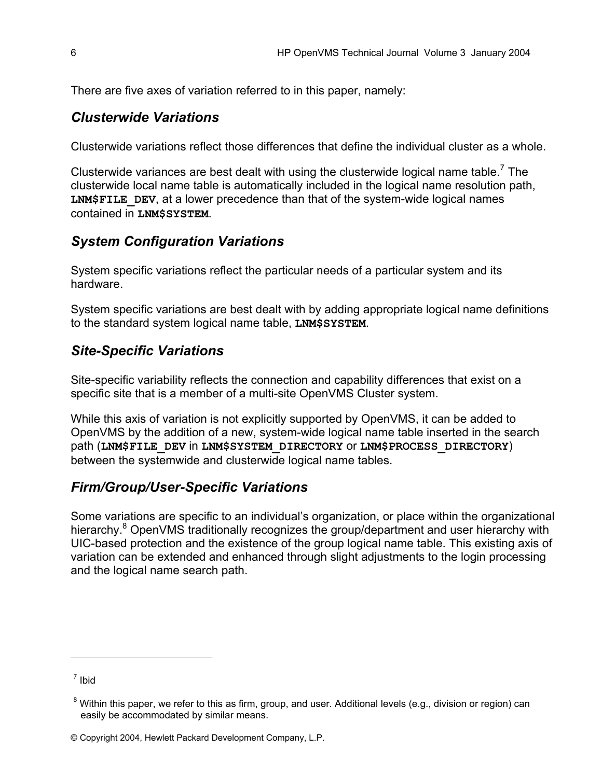There are five axes of variation referred to in this paper, namely:

## *Clusterwide Variations*

Clusterwide variations reflect those differences that define the individual cluster as a whole.

Clusterwide variances are best dealt with using the clusterwide logical name table.<sup>[7](#page-5-0)</sup> The clusterwide local name table is automatically included in the logical name resolution path, LNM\$FILE DEV, at a lower precedence than that of the system-wide logical names contained in **LNM\$SYSTEM**.

## *System Configuration Variations*

System specific variations reflect the particular needs of a particular system and its hardware.

System specific variations are best dealt with by adding appropriate logical name definitions to the standard system logical name table, **LNM\$SYSTEM**.

## *Site-Specific Variations*

Site-specific variability reflects the connection and capability differences that exist on a specific site that is a member of a multi-site OpenVMS Cluster system.

While this axis of variation is not explicitly supported by OpenVMS, it can be added to OpenVMS by the addition of a new, system-wide logical name table inserted in the search path (**LNM\$FILE\_DEV** in **LNM\$SYSTEM\_DIRECTORY** or **LNM\$PROCESS\_DIRECTORY**) between the systemwide and clusterwide logical name tables.

### *Firm/Group/User-Specific Variations*

Some variations are specific to an individual's organization, or place within the organizational hierarchy.<sup>[8](#page-5-1)</sup> OpenVMS traditionally recognizes the group/department and user hierarchy with UIC-based protection and the existence of the group logical name table. This existing axis of variation can be extended and enhanced through slight adjustments to the login processing and the logical name search path.

<span id="page-5-0"></span><sup>7</sup> Ibid

<span id="page-5-1"></span> $^8$  Within this paper, we refer to this as firm, group, and user. Additional levels (e.g., division or region) can easily be accommodated by similar means.

<sup>©</sup> Copyright 2004, Hewlett Packard Development Company, L.P.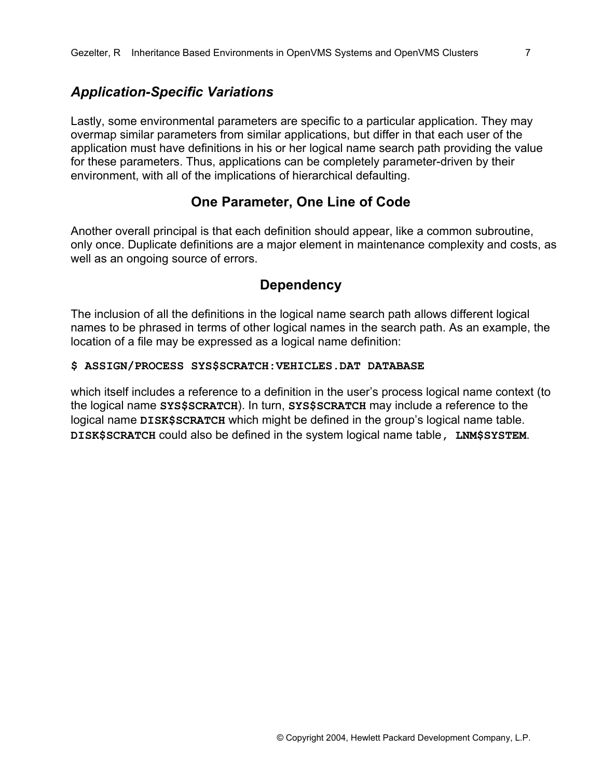#### *Application-Specific Variations*

Lastly, some environmental parameters are specific to a particular application. They may overmap similar parameters from similar applications, but differ in that each user of the application must have definitions in his or her logical name search path providing the value for these parameters. Thus, applications can be completely parameter-driven by their environment, with all of the implications of hierarchical defaulting.

### **One Parameter, One Line of Code**

Another overall principal is that each definition should appear, like a common subroutine, only once. Duplicate definitions are a major element in maintenance complexity and costs, as well as an ongoing source of errors.

#### **Dependency**

The inclusion of all the definitions in the logical name search path allows different logical names to be phrased in terms of other logical names in the search path. As an example, the location of a file may be expressed as a logical name definition:

#### **\$ ASSIGN/PROCESS SYS\$SCRATCH:VEHICLES.DAT DATABASE**

which itself includes a reference to a definition in the user's process logical name context (to the logical name **SYS\$SCRATCH**). In turn, **SYS\$SCRATCH** may include a reference to the logical name **DISK\$SCRATCH** which might be defined in the group's logical name table. **DISK\$SCRATCH** could also be defined in the system logical name table**, LNM\$SYSTEM**.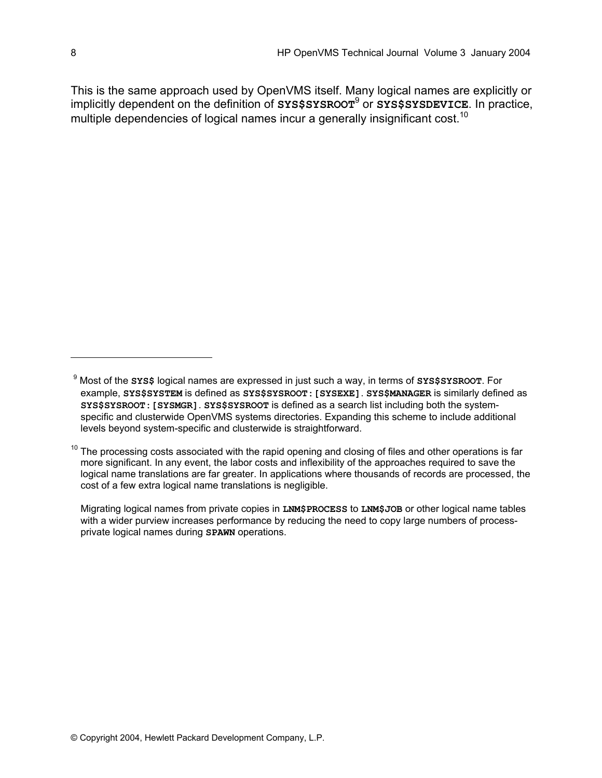This is the same approach used by OpenVMS itself. Many logical names are explicitly or implicitly dependent on the definition of **SYS\$SYSROOT**[9](#page-7-0) or **SYS\$SYSDEVICE**. In practice, multiple dependencies of logical names incur a generally insignificant cost.<sup>[10](#page-7-1)</sup>

<span id="page-7-0"></span><sup>9</sup> Most of the **SYS\$** logical names are expressed in just such a way, in terms of **SYS\$SYSROOT**. For example, **SYS\$SYSTEM** is defined as **SYS\$SYSROOT:[SYSEXE]**. **SYS\$MANAGER** is similarly defined as **SYS\$SYSROOT:[SYSMGR]**. **SYS\$SYSROOT** is defined as a search list including both the systemspecific and clusterwide OpenVMS systems directories. Expanding this scheme to include additional levels beyond system-specific and clusterwide is straightforward.

<span id="page-7-1"></span> $10$  The processing costs associated with the rapid opening and closing of files and other operations is far more significant. In any event, the labor costs and inflexibility of the approaches required to save the logical name translations are far greater. In applications where thousands of records are processed, the cost of a few extra logical name translations is negligible.

Migrating logical names from private copies in **LNM\$PROCESS** to **LNM\$JOB** or other logical name tables with a wider purview increases performance by reducing the need to copy large numbers of processprivate logical names during **SPAWN** operations.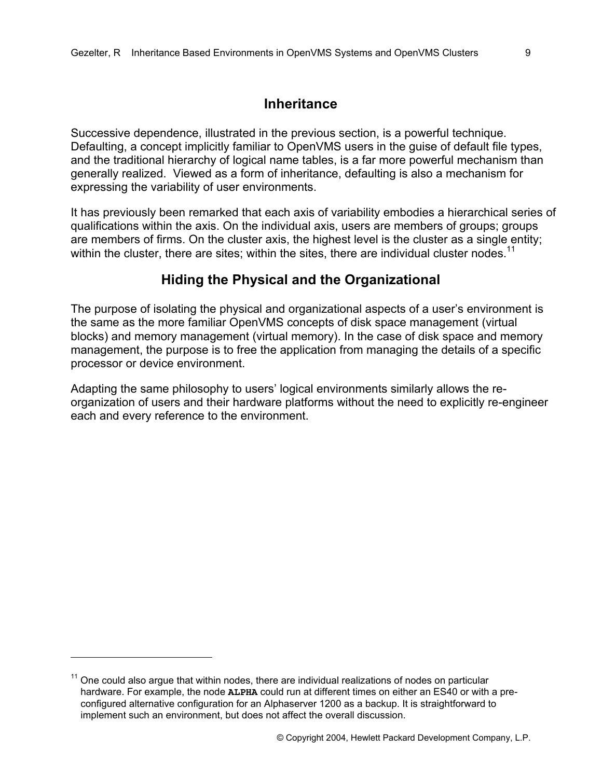### **Inheritance**

Successive dependence, illustrated in the previous section, is a powerful technique. Defaulting, a concept implicitly familiar to OpenVMS users in the guise of default file types, and the traditional hierarchy of logical name tables, is a far more powerful mechanism than generally realized. Viewed as a form of inheritance, defaulting is also a mechanism for expressing the variability of user environments.

It has previously been remarked that each axis of variability embodies a hierarchical series of qualifications within the axis. On the individual axis, users are members of groups; groups are members of firms. On the cluster axis, the highest level is the cluster as a single entity; within the cluster, there are sites; within the sites, there are individual cluster nodes.<sup>[11](#page-8-0)</sup>

### **Hiding the Physical and the Organizational**

The purpose of isolating the physical and organizational aspects of a user's environment is the same as the more familiar OpenVMS concepts of disk space management (virtual blocks) and memory management (virtual memory). In the case of disk space and memory management, the purpose is to free the application from managing the details of a specific processor or device environment.

Adapting the same philosophy to users' logical environments similarly allows the reorganization of users and their hardware platforms without the need to explicitly re-engineer each and every reference to the environment.

1

<span id="page-8-0"></span> $11$  One could also argue that within nodes, there are individual realizations of nodes on particular hardware. For example, the node **ALPHA** could run at different times on either an ES40 or with a preconfigured alternative configuration for an Alphaserver 1200 as a backup. It is straightforward to implement such an environment, but does not affect the overall discussion.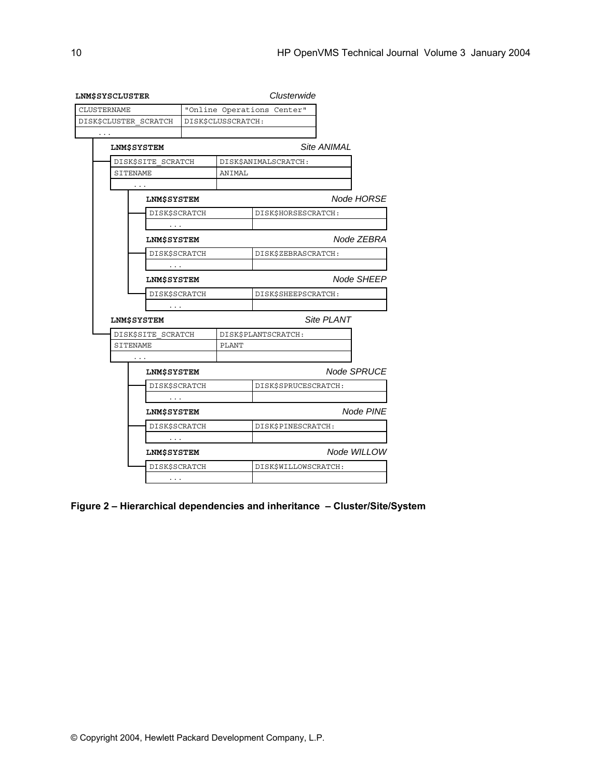| LNM\$SYSCLUSTER       | Clusterwide                |                      |  |  |
|-----------------------|----------------------------|----------------------|--|--|
| <b>CLUSTERNAME</b>    | "Online Operations Center" |                      |  |  |
| DISK\$CLUSTER SCRATCH | DISK\$CLUSSCRATCH:         |                      |  |  |
| $\cdots$              |                            |                      |  |  |
| <b>LNM\$SYSTEM</b>    |                            | Site ANIMAL          |  |  |
| DISK\$SITE SCRATCH    |                            | DISK\$ANIMALSCRATCH: |  |  |
| SITENAME              | ANIMAL                     |                      |  |  |
| .                     |                            |                      |  |  |
| <b>LNM\$SYSTEM</b>    |                            | Node HORSE           |  |  |
| <b>DISK\$SCRATCH</b>  |                            | DISK\$HORSESCRATCH:  |  |  |
| $\cdots$              |                            |                      |  |  |
| <b>LNM\$SYSTEM</b>    |                            | Node ZEBRA           |  |  |
| <b>DISK\$SCRATCH</b>  |                            | DISK\$ZEBRASCRATCH:  |  |  |
| $\cdots$              |                            |                      |  |  |
| <b>LNM\$SYSTEM</b>    |                            | Node SHEEP           |  |  |
| <b>DISK\$SCRATCH</b>  |                            | DISK\$SHEEPSCRATCH:  |  |  |
| $\cdots$              |                            |                      |  |  |
| <b>LNM\$SYSTEM</b>    |                            | Site PLANT           |  |  |
| DISK\$SITE SCRATCH    |                            | DISK\$PLANTSCRATCH:  |  |  |
| <b>SITENAME</b>       | PLANT                      |                      |  |  |
| $\sim$ $\sim$ $\sim$  |                            |                      |  |  |
| <b>LNM\$SYSTEM</b>    |                            | Node SPRUCE          |  |  |
| <b>DISK\$SCRATCH</b>  |                            | DISK\$SPRUCESCRATCH: |  |  |
| $\cdots$              |                            |                      |  |  |
| <b>LNM\$SYSTEM</b>    |                            | Node PINE            |  |  |
| <b>DISK\$SCRATCH</b>  |                            | DISK\$PINESCRATCH:   |  |  |
| $\cdots$              |                            |                      |  |  |
| <b>LNM\$SYSTEM</b>    |                            | Node WILLOW          |  |  |
| <b>DISK\$SCRATCH</b>  |                            | DISK\$WILLOWSCRATCH: |  |  |
| $\cdots$              |                            |                      |  |  |

**Figure 2 – Hierarchical dependencies and inheritance – Cluster/Site/System**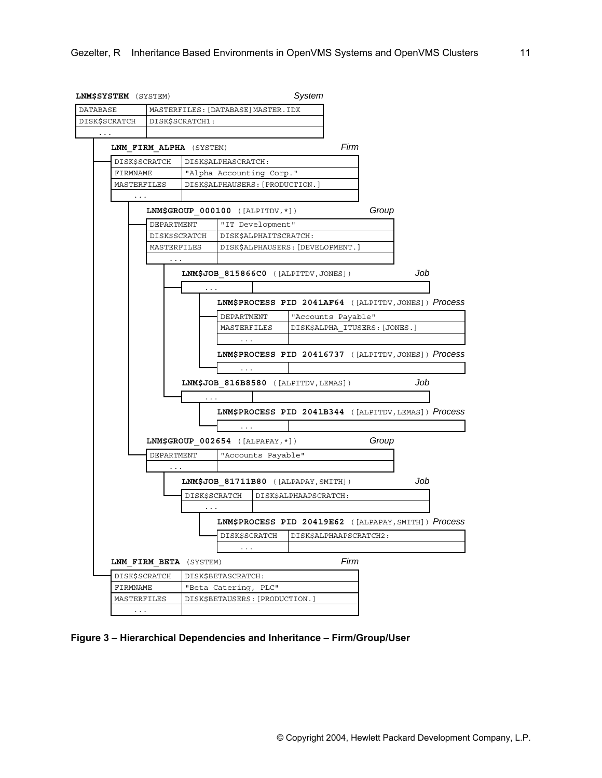

**Figure 3 – Hierarchical Dependencies and Inheritance – Firm/Group/User**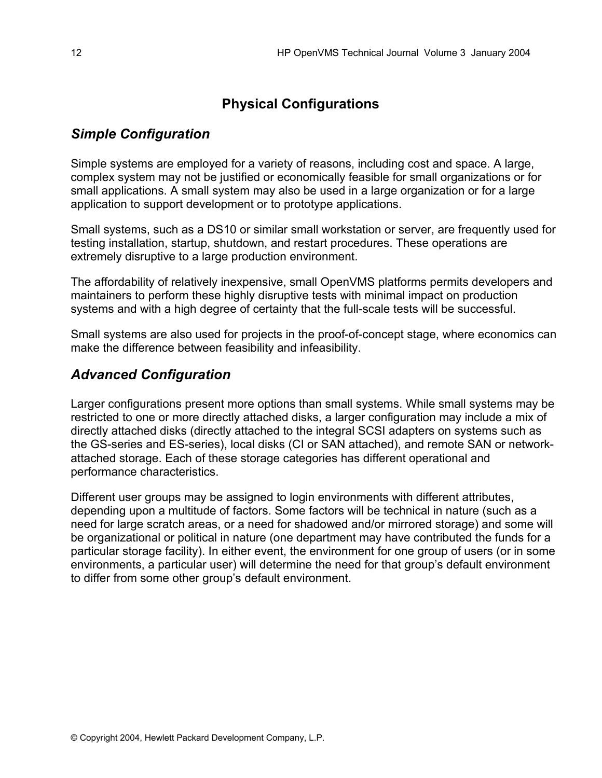## **Physical Configurations**

## *Simple Configuration*

Simple systems are employed for a variety of reasons, including cost and space. A large, complex system may not be justified or economically feasible for small organizations or for small applications. A small system may also be used in a large organization or for a large application to support development or to prototype applications.

Small systems, such as a DS10 or similar small workstation or server, are frequently used for testing installation, startup, shutdown, and restart procedures. These operations are extremely disruptive to a large production environment.

The affordability of relatively inexpensive, small OpenVMS platforms permits developers and maintainers to perform these highly disruptive tests with minimal impact on production systems and with a high degree of certainty that the full-scale tests will be successful.

Small systems are also used for projects in the proof-of-concept stage, where economics can make the difference between feasibility and infeasibility.

## *Advanced Configuration*

Larger configurations present more options than small systems. While small systems may be restricted to one or more directly attached disks, a larger configuration may include a mix of directly attached disks (directly attached to the integral SCSI adapters on systems such as the GS-series and ES-series), local disks (CI or SAN attached), and remote SAN or networkattached storage. Each of these storage categories has different operational and performance characteristics.

Different user groups may be assigned to login environments with different attributes, depending upon a multitude of factors. Some factors will be technical in nature (such as a need for large scratch areas, or a need for shadowed and/or mirrored storage) and some will be organizational or political in nature (one department may have contributed the funds for a particular storage facility). In either event, the environment for one group of users (or in some environments, a particular user) will determine the need for that group's default environment to differ from some other group's default environment.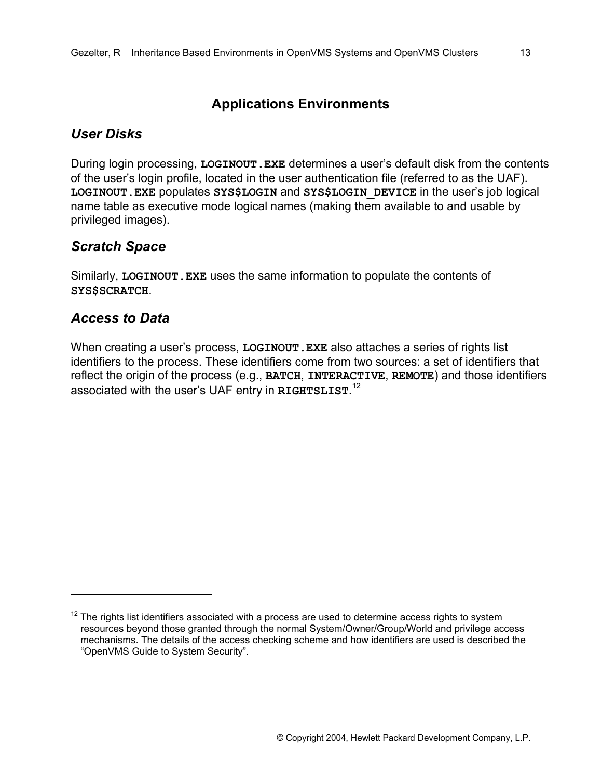## **Applications Environments**

## *User Disks*

During login processing, **LOGINOUT.EXE** determines a user's default disk from the contents of the user's login profile, located in the user authentication file (referred to as the UAF). **LOGINOUT.EXE** populates **SYS\$LOGIN** and **SYS\$LOGIN\_DEVICE** in the user's job logical name table as executive mode logical names (making them available to and usable by privileged images).

## *Scratch Space*

Similarly, **LOGINOUT.EXE** uses the same information to populate the contents of **SYS\$SCRATCH**.

## *Access to Data*

1

When creating a user's process, **LOGINOUT.EXE** also attaches a series of rights list identifiers to the process. These identifiers come from two sources: a set of identifiers that reflect the origin of the process (e.g., **BATCH**, **INTERACTIVE**, **REMOTE**) and those identifiers associated with the user's UAF entry in **RIGHTSLIST**. [12](#page-12-0)

<span id="page-12-0"></span> $12$  The rights list identifiers associated with a process are used to determine access rights to system resources beyond those granted through the normal System/Owner/Group/World and privilege access mechanisms. The details of the access checking scheme and how identifiers are used is described the "OpenVMS Guide to System Security".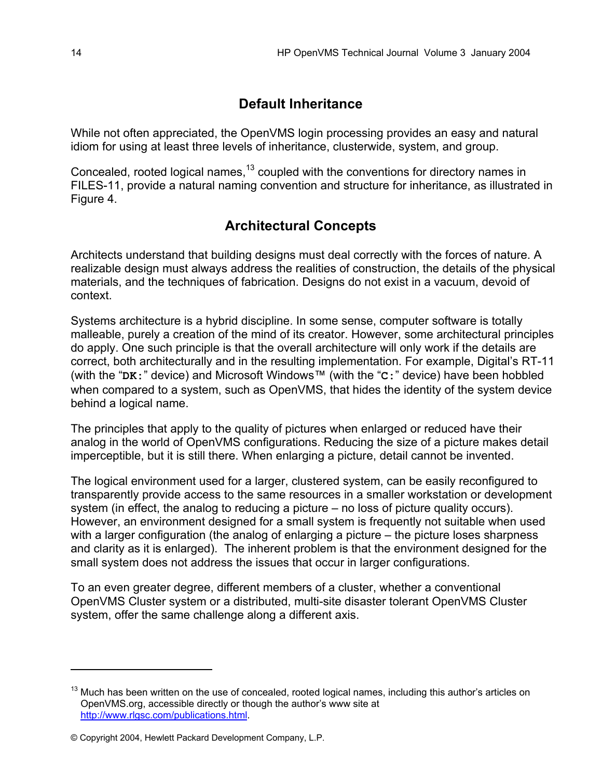## **Default Inheritance**

While not often appreciated, the OpenVMS login processing provides an easy and natural idiom for using at least three levels of inheritance, clusterwide, system, and group.

Concealed, rooted logical names, $^{13}$  coupled with the conventions for directory names in FILES-11, provide a natural naming convention and structure for inheritance, as illustrated in Figure 4.

# **Architectural Concepts**

Architects understand that building designs must deal correctly with the forces of nature. A realizable design must always address the realities of construction, the details of the physical materials, and the techniques of fabrication. Designs do not exist in a vacuum, devoid of context.

Systems architecture is a hybrid discipline. In some sense, computer software is totally malleable, purely a creation of the mind of its creator. However, some architectural principles do apply. One such principle is that the overall architecture will only work if the details are correct, both architecturally and in the resulting implementation. For example, Digital's RT-11 (with the "**DK:**" device) and Microsoft Windows™ (with the "**C:**" device) have been hobbled when compared to a system, such as OpenVMS, that hides the identity of the system device behind a logical name.

The principles that apply to the quality of pictures when enlarged or reduced have their analog in the world of OpenVMS configurations. Reducing the size of a picture makes detail imperceptible, but it is still there. When enlarging a picture, detail cannot be invented.

The logical environment used for a larger, clustered system, can be easily reconfigured to transparently provide access to the same resources in a smaller workstation or development system (in effect, the analog to reducing a picture – no loss of picture quality occurs). However, an environment designed for a small system is frequently not suitable when used with a larger configuration (the analog of enlarging a picture – the picture loses sharpness and clarity as it is enlarged). The inherent problem is that the environment designed for the small system does not address the issues that occur in larger configurations.

To an even greater degree, different members of a cluster, whether a conventional OpenVMS Cluster system or a distributed, multi-site disaster tolerant OpenVMS Cluster system, offer the same challenge along a different axis.

<span id="page-13-0"></span><sup>&</sup>lt;sup>13</sup> Much has been written on the use of concealed, rooted logical names, including this author's articles on OpenVMS.org, accessible directly or though the author's www site at http://www.rlgsc.com/publications.html.

<sup>©</sup> Copyright 2004, Hewlett Packard Development Company, L.P.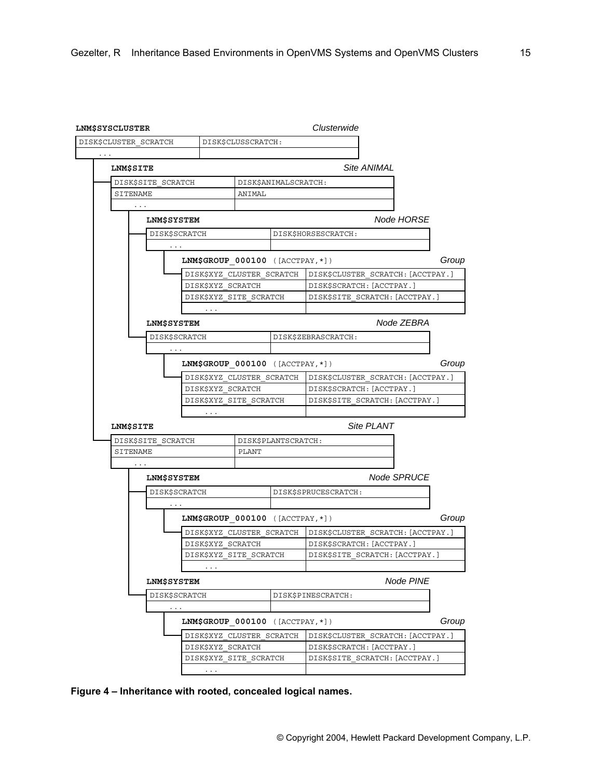| LNM\$SYSCLUSTER                       |                                    |                        |                      | Clusterwide                       |       |
|---------------------------------------|------------------------------------|------------------------|----------------------|-----------------------------------|-------|
| DISK\$CLUSTER SCRATCH                 |                                    | DISK\$CLUSSCRATCH:     |                      |                                   |       |
|                                       |                                    |                        |                      | Site ANIMAL                       |       |
| LNM\$SITE                             |                                    |                        |                      |                                   |       |
| DISK\$SITE SCRATCH                    |                                    |                        | DISK\$ANIMALSCRATCH: |                                   |       |
| SITENAME                              |                                    | ANIMAL                 |                      |                                   |       |
| $\cdots$                              |                                    |                        |                      |                                   |       |
| <b>LNM\$SYSTEM</b>                    |                                    |                        |                      | Node HORSE                        |       |
| <b>DISK\$SCRATCH</b>                  |                                    |                        | DISK\$HORSESCRATCH:  |                                   |       |
| $\ldots$ .                            |                                    |                        |                      |                                   |       |
|                                       | LNM\$GROUP $000100$ ([ACCTPAY, *]) |                        |                      |                                   | Group |
|                                       | DISK\$XYZ CLUSTER SCRATCH          |                        |                      | DISK\$CLUSTER SCRATCH: [ACCTPAY.] |       |
|                                       | DISK\$XYZ SCRATCH                  |                        |                      | DISK\$SCRATCH: [ACCTPAY.]         |       |
|                                       | DISK\$XYZ SITE SCRATCH             |                        |                      | DISK\$SITE SCRATCH: [ACCTPAY.]    |       |
| LNM\$SYSTEM                           | $\cdots$                           |                        |                      | Node ZEBRA                        |       |
| DISK\$SCRATCH                         |                                    |                        |                      | DISK\$ZEBRASCRATCH:               |       |
|                                       |                                    |                        |                      |                                   |       |
|                                       | LNM\$GROUP $000100$ ([ACCTPAY, *]) |                        |                      |                                   | Group |
|                                       | DISK\$XYZ CLUSTER SCRATCH          |                        |                      | DISK\$CLUSTER SCRATCH: [ACCTPAY.] |       |
|                                       | DISK\$XYZ SCRATCH                  |                        |                      | DISK\$SCRATCH: [ACCTPAY.]         |       |
|                                       |                                    | DISK\$XYZ SITE SCRATCH |                      | DISK\$SITE SCRATCH: [ACCTPAY.]    |       |
|                                       | $\cdots$                           |                        |                      |                                   |       |
| LNM\$SITE                             |                                    |                        |                      | Site PLANT                        |       |
| DISK\$SITE SCRATCH                    |                                    |                        | DISK\$PLANTSCRATCH:  |                                   |       |
| SITENAME                              |                                    | PLANT                  |                      |                                   |       |
| $\cdots$                              |                                    |                        |                      |                                   |       |
| <b>LNM\$SYSTEM</b>                    |                                    |                        |                      | Node SPRUCE                       |       |
| <b>DISK\$SCRATCH</b>                  |                                    |                        |                      | DISK\$SPRUCESCRATCH:              |       |
| $\sim$ $\sim$ $\sim$                  |                                    |                        |                      |                                   |       |
|                                       | LNM\$GROUP $000100$ ([ACCTPAY, *]) |                        |                      |                                   | Group |
|                                       | DISK\$XYZ CLUSTER SCRATCH          |                        |                      | DISK\$CLUSTER SCRATCH: [ACCTPAY.] |       |
|                                       | DISK\$XYZ SCRATCH                  |                        |                      | DISK\$SCRATCH: [ACCTPAY.]         |       |
|                                       | DISK\$XYZ SITE SCRATCH             |                        |                      | DISK\$SITE SCRATCH: [ACCTPAY.]    |       |
|                                       | $\cdots$                           |                        |                      | Node PINE                         |       |
| <b>LNM\$SYSTEM</b>                    |                                    |                        |                      |                                   |       |
| DISK\$SCRATCH<br>$\sim$ $\sim$ $\sim$ |                                    |                        |                      | DISK\$PINESCRATCH:                |       |
|                                       | LNM\$GROUP $000100$ ([ACCTPAY, *]) |                        |                      |                                   | Group |
|                                       | DISK\$XYZ CLUSTER SCRATCH          |                        |                      | DISK\$CLUSTER SCRATCH: [ACCTPAY.] |       |
|                                       | DISK\$XYZ SCRATCH                  |                        |                      | DISK\$SCRATCH: [ACCTPAY.]         |       |
|                                       | DISK\$XYZ SITE SCRATCH             |                        |                      | DISK\$SITE SCRATCH: [ACCTPAY.]    |       |
|                                       | $\sim$ $\sim$ $\sim$               |                        |                      |                                   |       |

**Figure 4 – Inheritance with rooted, concealed logical names.**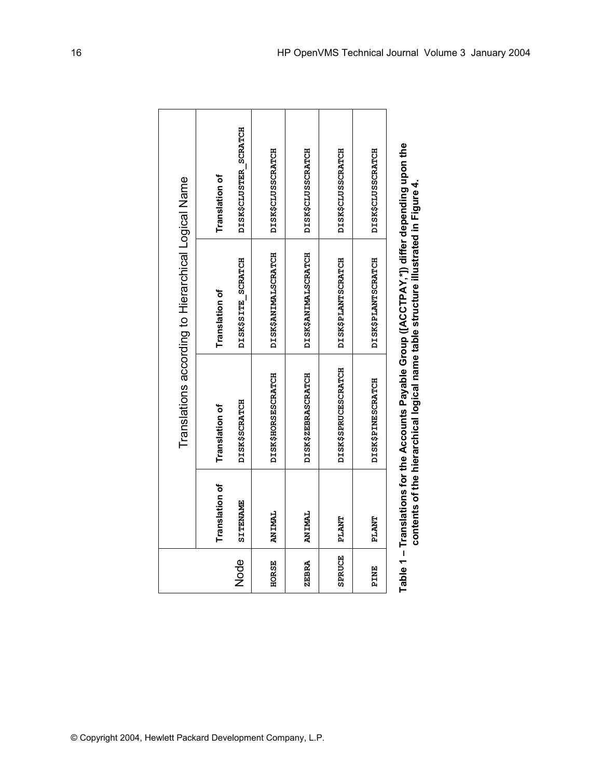|  |                                                     | Translation of  | DISK\$CLUSTER_SCRATCH | DISK\$CLUSSCRATCH         | DISK\$CLUSSCRATCH   | DISK\$CLUSSCRATCH   | DISK\$CLUSSCRATCH        |
|--|-----------------------------------------------------|-----------------|-----------------------|---------------------------|---------------------|---------------------|--------------------------|
|  | Translations according to Hierarchical Logical Name | Translation of  | DISK\$SITE SCRATCH    | DISK\$ANIMALSCRATCH       | DISK\$ANIMALSCRATCH | DISK\$PLANTSCRATCH  | DISK\$PLANTSCRATCH       |
|  |                                                     | Translation of  | <b>DISK\$SCRATCH</b>  | <b>DISK\$HORSESCRATCH</b> | DISK\$ZEBRASCRATCH  | DISK\$SPRUCESCRATCH | <b>DISK\$PINESCRATCH</b> |
|  | Translation of                                      | <b>SITENAME</b> | <b>ANIMAL</b>         | ANIMAL                    | <b>TAKTS</b>        | <b>TIANT</b>        |                          |
|  |                                                     |                 | Node                  | HORSE                     | ZEBRA               | <b>SPRUCE</b>       | PINE                     |
|  |                                                     |                 |                       |                           |                     |                     |                          |

Table 1 – Translations for the Accounts Payable Group ([ACCTPAY,\*]) differ depending upon the<br>contents of the hierarchical logical name table structure illustrated in Figure 4. **Table 1 – Translations for the Accounts Payable Group ([ACCTPAY,\*]) differ depending upon the contents of the hierarchical logical name table structure illustrated in Figure 4.**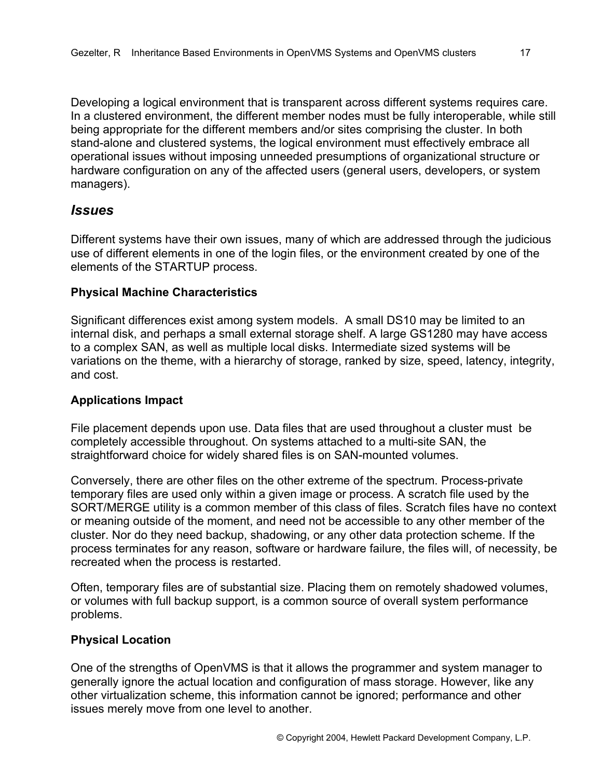Developing a logical environment that is transparent across different systems requires care. In a clustered environment, the different member nodes must be fully interoperable, while still being appropriate for the different members and/or sites comprising the cluster. In both stand-alone and clustered systems, the logical environment must effectively embrace all operational issues without imposing unneeded presumptions of organizational structure or hardware configuration on any of the affected users (general users, developers, or system managers).

### *Issues*

Different systems have their own issues, many of which are addressed through the judicious use of different elements in one of the login files, or the environment created by one of the elements of the STARTUP process.

#### **Physical Machine Characteristics**

Significant differences exist among system models. A small DS10 may be limited to an internal disk, and perhaps a small external storage shelf. A large GS1280 may have access to a complex SAN, as well as multiple local disks. Intermediate sized systems will be variations on the theme, with a hierarchy of storage, ranked by size, speed, latency, integrity, and cost.

#### **Applications Impact**

File placement depends upon use. Data files that are used throughout a cluster must be completely accessible throughout. On systems attached to a multi-site SAN, the straightforward choice for widely shared files is on SAN-mounted volumes.

Conversely, there are other files on the other extreme of the spectrum. Process-private temporary files are used only within a given image or process. A scratch file used by the SORT/MERGE utility is a common member of this class of files. Scratch files have no context or meaning outside of the moment, and need not be accessible to any other member of the cluster. Nor do they need backup, shadowing, or any other data protection scheme. If the process terminates for any reason, software or hardware failure, the files will, of necessity, be recreated when the process is restarted.

Often, temporary files are of substantial size. Placing them on remotely shadowed volumes, or volumes with full backup support, is a common source of overall system performance problems.

#### **Physical Location**

One of the strengths of OpenVMS is that it allows the programmer and system manager to generally ignore the actual location and configuration of mass storage. However, like any other virtualization scheme, this information cannot be ignored; performance and other issues merely move from one level to another.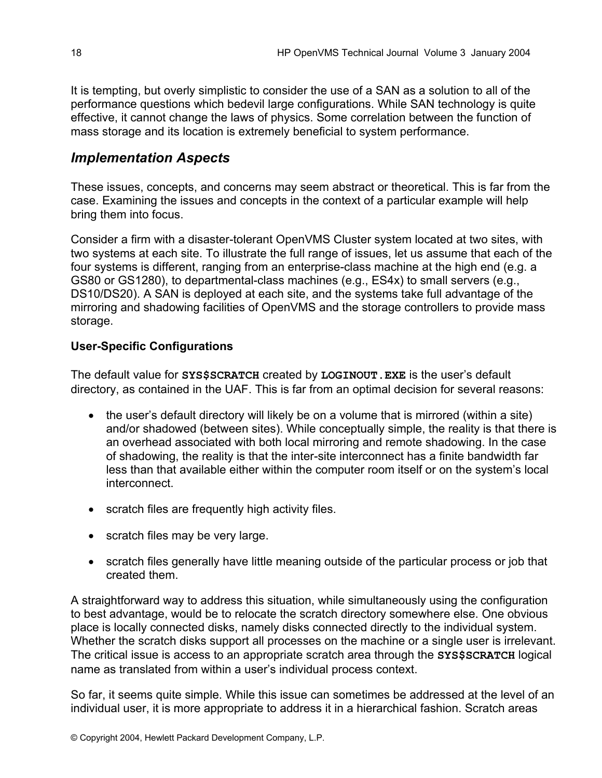It is tempting, but overly simplistic to consider the use of a SAN as a solution to all of the performance questions which bedevil large configurations. While SAN technology is quite effective, it cannot change the laws of physics. Some correlation between the function of mass storage and its location is extremely beneficial to system performance.

### *Implementation Aspects*

These issues, concepts, and concerns may seem abstract or theoretical. This is far from the case. Examining the issues and concepts in the context of a particular example will help bring them into focus.

Consider a firm with a disaster-tolerant OpenVMS Cluster system located at two sites, with two systems at each site. To illustrate the full range of issues, let us assume that each of the four systems is different, ranging from an enterprise-class machine at the high end (e.g. a GS80 or GS1280), to departmental-class machines (e.g., ES4x) to small servers (e.g., DS10/DS20). A SAN is deployed at each site, and the systems take full advantage of the mirroring and shadowing facilities of OpenVMS and the storage controllers to provide mass storage.

#### **User-Specific Configurations**

The default value for **SYS\$SCRATCH** created by **LOGINOUT.EXE** is the user's default directory, as contained in the UAF. This is far from an optimal decision for several reasons:

- the user's default directory will likely be on a volume that is mirrored (within a site) and/or shadowed (between sites). While conceptually simple, the reality is that there is an overhead associated with both local mirroring and remote shadowing. In the case of shadowing, the reality is that the inter-site interconnect has a finite bandwidth far less than that available either within the computer room itself or on the system's local **interconnect**
- scratch files are frequently high activity files.
- scratch files may be very large.
- scratch files generally have little meaning outside of the particular process or job that created them.

A straightforward way to address this situation, while simultaneously using the configuration to best advantage, would be to relocate the scratch directory somewhere else. One obvious place is locally connected disks, namely disks connected directly to the individual system. Whether the scratch disks support all processes on the machine or a single user is irrelevant. The critical issue is access to an appropriate scratch area through the **SYS\$SCRATCH** logical name as translated from within a user's individual process context.

So far, it seems quite simple. While this issue can sometimes be addressed at the level of an individual user, it is more appropriate to address it in a hierarchical fashion. Scratch areas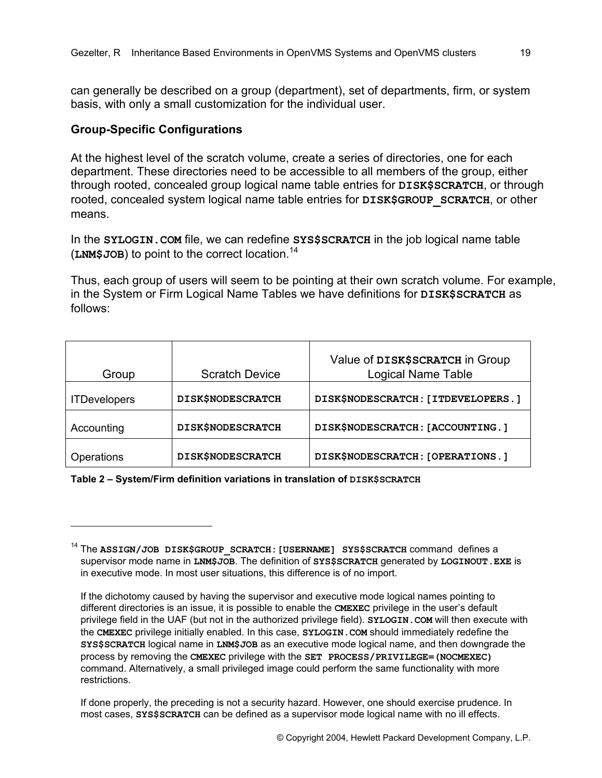can generally be described on a group (department), set of departments, firm, or system basis, with only a small customization for the individual user.

#### **Group-Specific Configurations**

 $\overline{a}$ 

At the highest level of the scratch volume, create a series of directories, one for each department. These directories need to be accessible to all members of the group, either through rooted, concealed group logical name table entries for **DISK\$SCRATCH**, or through rooted, concealed system logical name table entries for **DISK\$GROUP** SCRATCH, or other means.

In the **SYLOGIN. COM** file, we can redefine **SYS\$SCRATCH** in the job logical name table (**LNM\$JOB**) to point to the correct location.[14](#page-18-0)

Thus, each group of users will seem to be pointing at their own scratch volume. For example, in the System or Firm Logical Name Tables we have definitions for **DISK\$SCRATCH** as follows:

| Group               | <b>Scratch Device</b>    | Value of DISK\$SCRATCH in Group<br><b>Logical Name Table</b> |
|---------------------|--------------------------|--------------------------------------------------------------|
| <b>ITDevelopers</b> | <b>DISK\$NODESCRATCH</b> | DISK\$NODESCRATCH: [ITDEVELOPERS.]                           |
| Accounting          | <b>DISK\$NODESCRATCH</b> | DISK\$NODESCRATCH: [ACCOUNTING.]                             |
| Operations          | <b>DISK\$NODESCRATCH</b> | DISK\$NODESCRATCH: [OPERATIONS.]                             |

**Table 2 – System/Firm definition variations in translation of DISK\$SCRATCH** 

<span id="page-18-0"></span><sup>&</sup>lt;sup>14</sup> The **ASSIGN/JOB DISK\$GROUP SCRATCH: [USERNAME] SYS\$SCRATCH** command defines a supervisor mode name in **LNM\$JOB**. The definition of **SYS\$SCRATCH** generated by **LOGINOUT.EXE** is in executive mode. In most user situations, this difference is of no import.

If the dichotomy caused by having the supervisor and executive mode logical names pointing to different directories is an issue, it is possible to enable the **CMEXEC** privilege in the user's default privilege field in the UAF (but not in the authorized privilege field). **SYLOGIN.COM** will then execute with the **CMEXEC** privilege initially enabled. In this case, **SYLOGIN.COM** should immediately redefine the **SYS\$SCRATCH** logical name in **LNM\$JOB** as an executive mode logical name, and then downgrade the process by removing the **CMEXEC** privilege with the **SET PROCESS/PRIVILEGE=(NOCMEXEC)** command. Alternatively, a small privileged image could perform the same functionality with more restrictions.

If done properly, the preceding is not a security hazard. However, one should exercise prudence. In most cases, **SYS\$SCRATCH** can be defined as a supervisor mode logical name with no ill effects.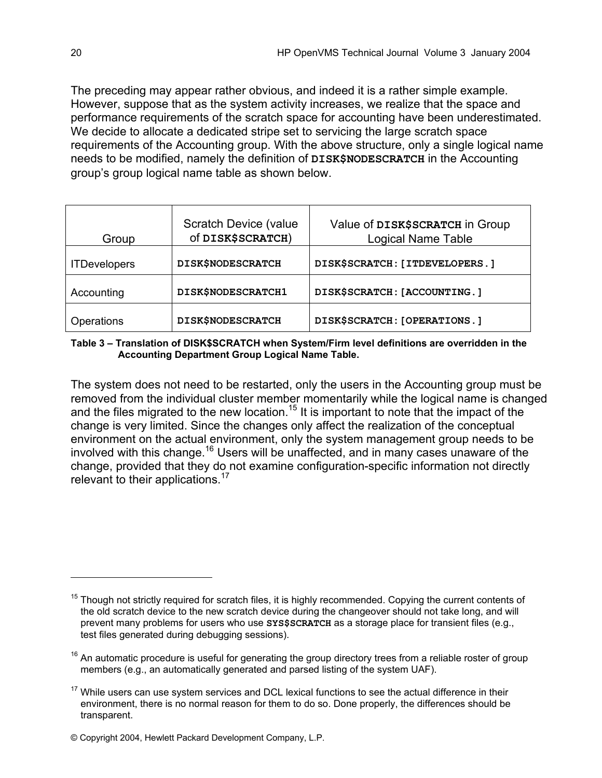The preceding may appear rather obvious, and indeed it is a rather simple example. However, suppose that as the system activity increases, we realize that the space and performance requirements of the scratch space for accounting have been underestimated. We decide to allocate a dedicated stripe set to servicing the large scratch space requirements of the Accounting group. With the above structure, only a single logical name needs to be modified, namely the definition of **DISK\$NODESCRATCH** in the Accounting group's group logical name table as shown below.

| Group               | <b>Scratch Device (value</b><br>Of DISK\$SCRATCH) | Value of DISK\$SCRATCH in Group<br><b>Logical Name Table</b> |
|---------------------|---------------------------------------------------|--------------------------------------------------------------|
| <b>ITDevelopers</b> | <b>DISK\$NODESCRATCH</b>                          | DISK\$SCRATCH: [ITDEVELOPERS.]                               |
| Accounting          | DISK\$NODESCRATCH1                                | DISK\$SCRATCH: [ACCOUNTING.]                                 |
| Operations          | <b>DISK\$NODESCRATCH</b>                          | DISK\$SCRATCH: [OPERATIONS.]                                 |

**Table 3 – Translation of DISK\$SCRATCH when System/Firm level definitions are overridden in the Accounting Department Group Logical Name Table.** 

The system does not need to be restarted, only the users in the Accounting group must be removed from the individual cluster member momentarily while the logical name is changed and the files migrated to the new location.<sup>15</sup> It is important to note that the impact of the change is very limited. Since the changes only affect the realization of the conceptual environment on the actual environment, only the system management group needs to be involved with this change.<sup>16</sup> Users will be unaffected, and in many cases unaware of the change, provided that they do not examine configuration-specific information not directly relevant to their applications.<sup>[17](#page-19-2)</sup>

<span id="page-19-0"></span> $15$  Though not strictly required for scratch files, it is highly recommended. Copying the current contents of the old scratch device to the new scratch device during the changeover should not take long, and will prevent many problems for users who use **SYS\$SCRATCH** as a storage place for transient files (e.g., test files generated during debugging sessions).

<span id="page-19-1"></span> $16$  An automatic procedure is useful for generating the group directory trees from a reliable roster of group members (e.g., an automatically generated and parsed listing of the system UAF).

<span id="page-19-2"></span> $17$  While users can use system services and DCL lexical functions to see the actual difference in their environment, there is no normal reason for them to do so. Done properly, the differences should be transparent.

<sup>©</sup> Copyright 2004, Hewlett Packard Development Company, L.P.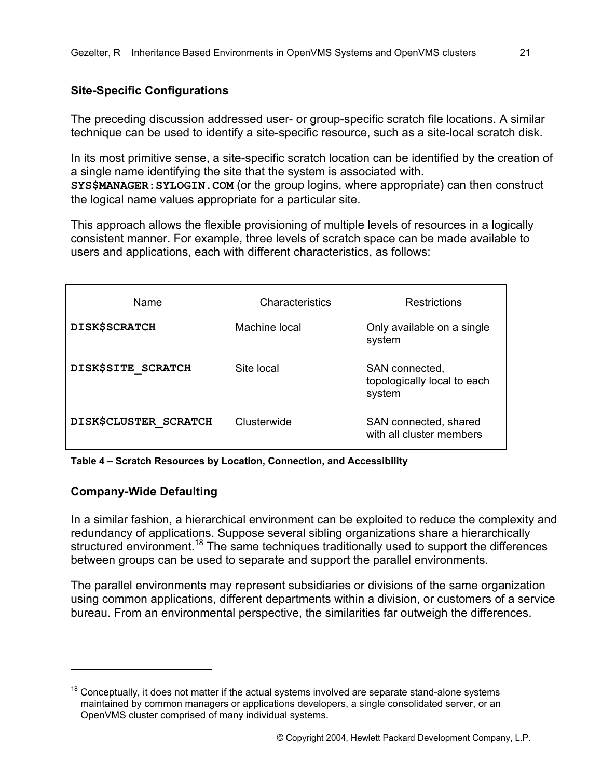### **Site-Specific Configurations**

The preceding discussion addressed user- or group-specific scratch file locations. A similar technique can be used to identify a site-specific resource, such as a site-local scratch disk.

In its most primitive sense, a site-specific scratch location can be identified by the creation of a single name identifying the site that the system is associated with. **SYS\$MANAGER:SYLOGIN.COM** (or the group logins, where appropriate) can then construct the logical name values appropriate for a particular site.

This approach allows the flexible provisioning of multiple levels of resources in a logically consistent manner. For example, three levels of scratch space can be made available to users and applications, each with different characteristics, as follows:

| Name                  | Characteristics | <b>Restrictions</b>                                     |
|-----------------------|-----------------|---------------------------------------------------------|
| <b>DISK\$SCRATCH</b>  | Machine local   | Only available on a single<br>system                    |
| DISK\$SITE SCRATCH    | Site local      | SAN connected,<br>topologically local to each<br>system |
| DISK\$CLUSTER SCRATCH | Clusterwide     | SAN connected, shared<br>with all cluster members       |

**Table 4 – Scratch Resources by Location, Connection, and Accessibility** 

### **Company-Wide Defaulting**

 $\overline{a}$ 

In a similar fashion, a hierarchical environment can be exploited to reduce the complexity and redundancy of applications. Suppose several sibling organizations share a hierarchically structured environment.<sup>18</sup> The same techniques traditionally used to support the differences between groups can be used to separate and support the parallel environments.

The parallel environments may represent subsidiaries or divisions of the same organization using common applications, different departments within a division, or customers of a service bureau. From an environmental perspective, the similarities far outweigh the differences.

<span id="page-20-0"></span> $18$  Conceptually, it does not matter if the actual systems involved are separate stand-alone systems maintained by common managers or applications developers, a single consolidated server, or an OpenVMS cluster comprised of many individual systems.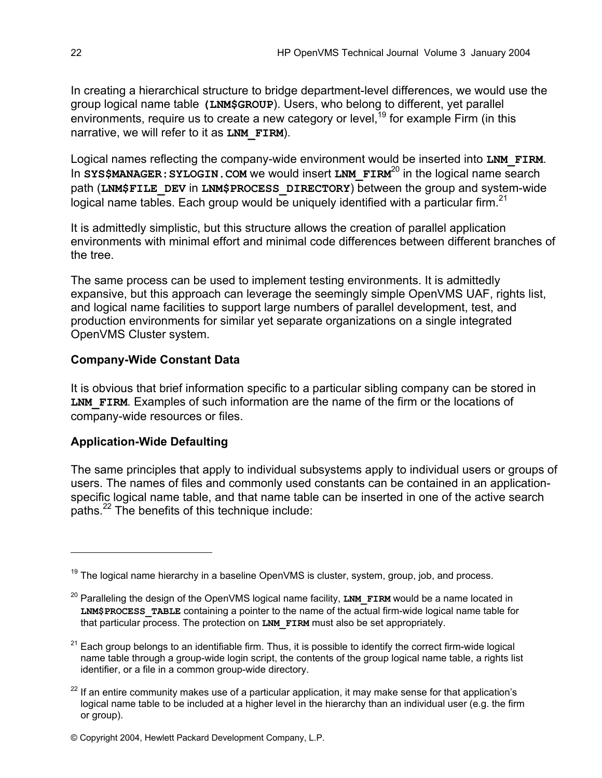In creating a hierarchical structure to bridge department-level differences, we would use the group logical name table **(LNM\$GROUP**). Users, who belong to different, yet parallel environments, require us to create a new category or level,  $19$  for example Firm (in this narrative, we will refer to it as **LNM\_FIRM**).

Logical names reflecting the company-wide environment would be inserted into LNM FIRM. In **SYS\$MANAGER: SYLOGIN. COM** we would insert **LNM** FIRM<sup>20</sup> in the logical name search path (**LNM\$FILE\_DEV** in **LNM\$PROCESS\_DIRECTORY**) between the group and system-wide logical name tables. Each group would be uniquely identified with a particular firm.<sup>[21](#page-21-2)</sup>

It is admittedly simplistic, but this structure allows the creation of parallel application environments with minimal effort and minimal code differences between different branches of the tree.

The same process can be used to implement testing environments. It is admittedly expansive, but this approach can leverage the seemingly simple OpenVMS UAF, rights list, and logical name facilities to support large numbers of parallel development, test, and production environments for similar yet separate organizations on a single integrated OpenVMS Cluster system.

#### **Company-Wide Constant Data**

It is obvious that brief information specific to a particular sibling company can be stored in LNM FIRM. Examples of such information are the name of the firm or the locations of company-wide resources or files.

#### **Application-Wide Defaulting**

 $\overline{a}$ 

The same principles that apply to individual subsystems apply to individual users or groups of users. The names of files and commonly used constants can be contained in an applicationspecific logical name table, and that name table can be inserted in one of the active search paths.<sup>22</sup> The benefits of this technique include:

<span id="page-21-0"></span> $19$  The logical name hierarchy in a baseline OpenVMS is cluster, system, group, job, and process.

<span id="page-21-1"></span><sup>&</sup>lt;sup>20</sup> Paralleling the design of the OpenVMS logical name facility, LNM FIRM would be a name located in **LNM\$PROCESS\_TABLE** containing a pointer to the name of the actual firm-wide logical name table for that particular process. The protection on **LNM FIRM** must also be set appropriately.

<span id="page-21-2"></span><sup>&</sup>lt;sup>21</sup> Each group belongs to an identifiable firm. Thus, it is possible to identify the correct firm-wide logical name table through a group-wide login script, the contents of the group logical name table, a rights list identifier, or a file in a common group-wide directory.

<span id="page-21-3"></span> $22$  If an entire community makes use of a particular application, it may make sense for that application's logical name table to be included at a higher level in the hierarchy than an individual user (e.g. the firm or group).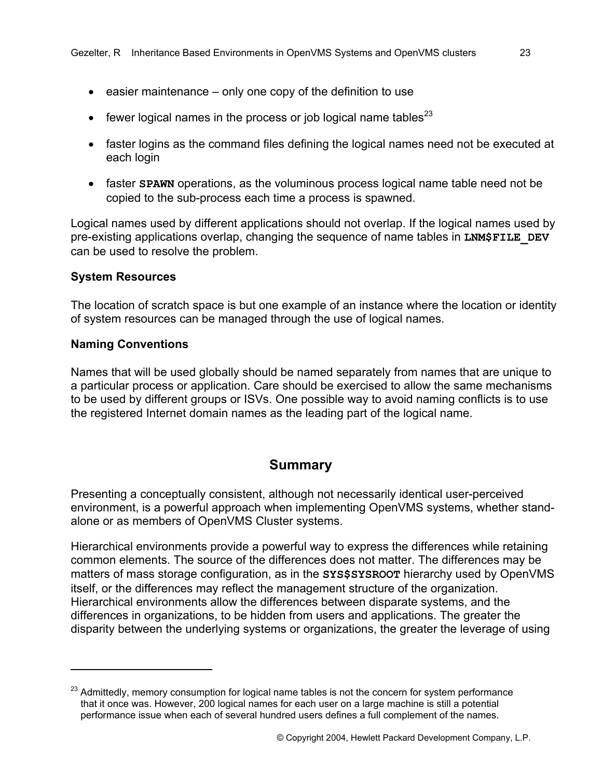- easier maintenance only one copy of the definition to use
- fewer logical names in the process or job logical name tables $^{23}$  $^{23}$  $^{23}$
- faster logins as the command files defining the logical names need not be executed at each login
- faster **SPAWN** operations, as the voluminous process logical name table need not be copied to the sub-process each time a process is spawned.

Logical names used by different applications should not overlap. If the logical names used by pre-existing applications overlap, changing the sequence of name tables in **LNM\$FILE\_DEV** can be used to resolve the problem.

#### **System Resources**

The location of scratch space is but one example of an instance where the location or identity of system resources can be managed through the use of logical names.

#### **Naming Conventions**

1

Names that will be used globally should be named separately from names that are unique to a particular process or application. Care should be exercised to allow the same mechanisms to be used by different groups or ISVs. One possible way to avoid naming conflicts is to use the registered Internet domain names as the leading part of the logical name.

#### **Summary**

Presenting a conceptually consistent, although not necessarily identical user-perceived environment, is a powerful approach when implementing OpenVMS systems, whether standalone or as members of OpenVMS Cluster systems.

Hierarchical environments provide a powerful way to express the differences while retaining common elements. The source of the differences does not matter. The differences may be matters of mass storage configuration, as in the **SYS\$SYSROOT** hierarchy used by OpenVMS itself, or the differences may reflect the management structure of the organization. Hierarchical environments allow the differences between disparate systems, and the differences in organizations, to be hidden from users and applications. The greater the disparity between the underlying systems or organizations, the greater the leverage of using

<span id="page-22-0"></span><sup>&</sup>lt;sup>23</sup> Admittedly, memory consumption for logical name tables is not the concern for system performance that it once was. However, 200 logical names for each user on a large machine is still a potential performance issue when each of several hundred users defines a full complement of the names.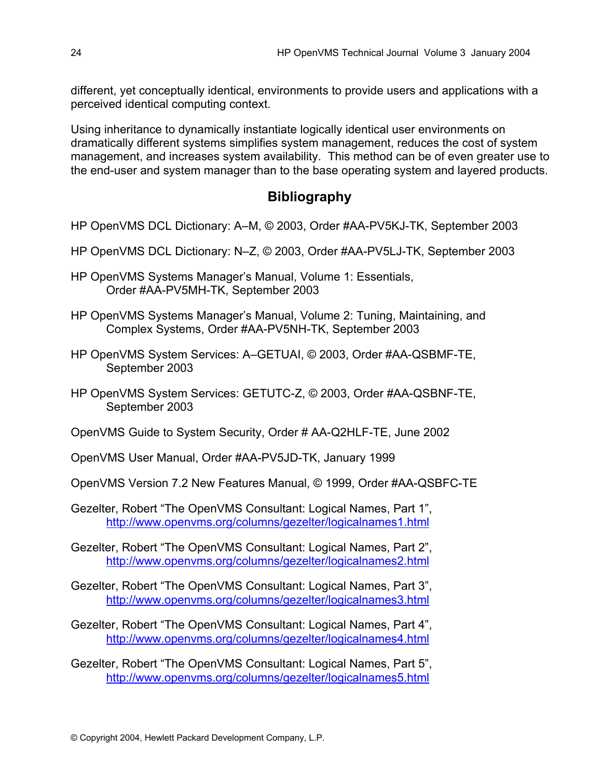different, yet conceptually identical, environments to provide users and applications with a perceived identical computing context.

Using inheritance to dynamically instantiate logically identical user environments on dramatically different systems simplifies system management, reduces the cost of system management, and increases system availability. This method can be of even greater use to the end-user and system manager than to the base operating system and layered products.

### **Bibliography**

- HP OpenVMS DCL Dictionary: A–M, © 2003, Order #AA-PV5KJ-TK, September 2003
- HP OpenVMS DCL Dictionary: N–Z, © 2003, Order #AA-PV5LJ-TK, September 2003
- HP OpenVMS Systems Manager's Manual, Volume 1: Essentials, Order #AA-PV5MH-TK, September 2003
- HP OpenVMS Systems Manager's Manual, Volume 2: Tuning, Maintaining, and Complex Systems, Order #AA-PV5NH-TK, September 2003
- HP OpenVMS System Services: A–GETUAI, © 2003, Order #AA-QSBMF-TE, September 2003
- HP OpenVMS System Services: GETUTC-Z, © 2003, Order #AA-QSBNF-TE, September 2003
- OpenVMS Guide to System Security, Order # AA-Q2HLF-TE, June 2002
- OpenVMS User Manual, Order #AA-PV5JD-TK, January 1999
- OpenVMS Version 7.2 New Features Manual, © 1999, Order #AA-QSBFC-TE
- Gezelter, Robert "The OpenVMS Consultant: Logical Names, Part 1", <http://www.openvms.org/columns/gezelter/logicalnames1.html>
- Gezelter, Robert "The OpenVMS Consultant: Logical Names, Part 2", <http://www.openvms.org/columns/gezelter/logicalnames2.html>
- Gezelter, Robert "The OpenVMS Consultant: Logical Names, Part 3", <http://www.openvms.org/columns/gezelter/logicalnames3.html>
- Gezelter, Robert "The OpenVMS Consultant: Logical Names, Part 4", <http://www.openvms.org/columns/gezelter/logicalnames4.html>
- Gezelter, Robert "The OpenVMS Consultant: Logical Names, Part 5", <http://www.openvms.org/columns/gezelter/logicalnames5.html>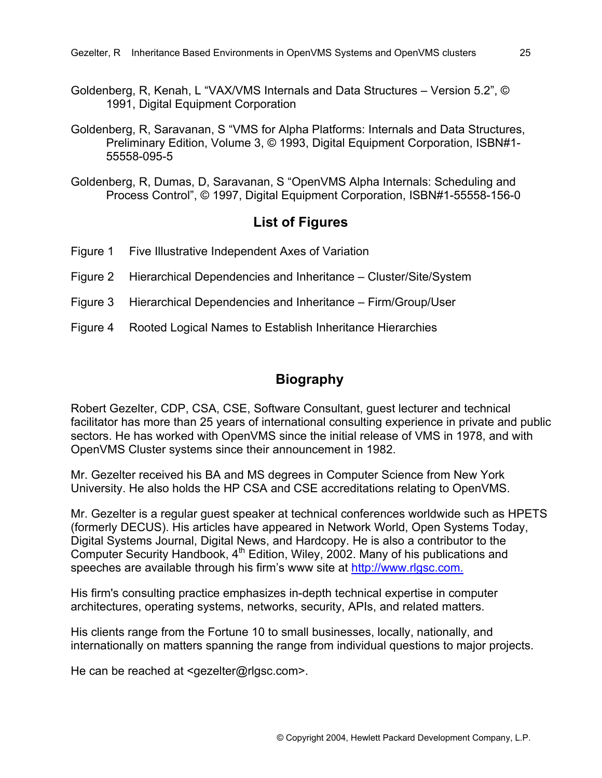- Goldenberg, R, Kenah, L "VAX/VMS Internals and Data Structures Version 5.2", © 1991, Digital Equipment Corporation
- Goldenberg, R, Saravanan, S "VMS for Alpha Platforms: Internals and Data Structures, Preliminary Edition, Volume 3, © 1993, Digital Equipment Corporation, ISBN#1- 55558-095-5
- Goldenberg, R, Dumas, D, Saravanan, S "OpenVMS Alpha Internals: Scheduling and Process Control", © 1997, Digital Equipment Corporation, ISBN#1-55558-156-0

#### **List of Figures**

- Figure 1 Five Illustrative Independent Axes of Variation
- Figure 2 Hierarchical Dependencies and Inheritance Cluster/Site/System
- Figure 3 Hierarchical Dependencies and Inheritance Firm/Group/User
- Figure 4 Rooted Logical Names to Establish Inheritance Hierarchies

#### **Biography**

Robert Gezelter, CDP, CSA, CSE, Software Consultant, guest lecturer and technical facilitator has more than 25 years of international consulting experience in private and public sectors. He has worked with OpenVMS since the initial release of VMS in 1978, and with OpenVMS Cluster systems since their announcement in 1982.

Mr. Gezelter received his BA and MS degrees in Computer Science from New York University. He also holds the HP CSA and CSE accreditations relating to OpenVMS.

Mr. Gezelter is a regular guest speaker at technical conferences worldwide such as HPETS (formerly DECUS). His articles have appeared in Network World, Open Systems Today, Digital Systems Journal, Digital News, and Hardcopy. He is also a contributor to the Computer Security Handbook,  $4<sup>th</sup>$  Edition, Wiley, 2002. Many of his publications and speeches are available through his firm's www site at [http://www.rlgsc.com](http://www.rlgsc.com/default.html?Source=OpenVMSTechJournal200401).

His firm's consulting practice emphasizes in-depth technical expertise in computer architectures, operating systems, networks, security, APIs, and related matters.

His clients range from the Fortune 10 to small businesses, locally, nationally, and internationally on matters spanning the range from individual questions to major projects.

He can be reached at <gezelter@rlgsc.com>.